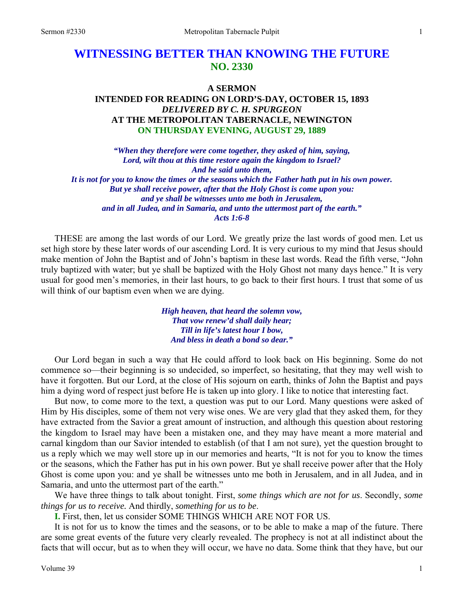# **WITNESSING BETTER THAN KNOWING THE FUTURE NO. 2330**

#### **A SERMON**

# **INTENDED FOR READING ON LORD'S-DAY, OCTOBER 15, 1893**  *DELIVERED BY C. H. SPURGEON*  **AT THE METROPOLITAN TABERNACLE, NEWINGTON ON THURSDAY EVENING, AUGUST 29, 1889**

*"When they therefore were come together, they asked of him, saying, Lord, wilt thou at this time restore again the kingdom to Israel? And he said unto them, It is not for you to know the times or the seasons which the Father hath put in his own power. But ye shall receive power, after that the Holy Ghost is come upon you: and ye shall be witnesses unto me both in Jerusalem, and in all Judea, and in Samaria, and unto the uttermost part of the earth." Acts 1:6-8* 

THESE are among the last words of our Lord. We greatly prize the last words of good men. Let us set high store by these later words of our ascending Lord. It is very curious to my mind that Jesus should make mention of John the Baptist and of John's baptism in these last words. Read the fifth verse, "John truly baptized with water; but ye shall be baptized with the Holy Ghost not many days hence." It is very usual for good men's memories, in their last hours, to go back to their first hours. I trust that some of us will think of our baptism even when we are dying.

> *High heaven, that heard the solemn vow, That vow renew'd shall daily hear; Till in life's latest hour I bow, And bless in death a bond so dear."*

Our Lord began in such a way that He could afford to look back on His beginning. Some do not commence so—their beginning is so undecided, so imperfect, so hesitating, that they may well wish to have it forgotten. But our Lord, at the close of His sojourn on earth, thinks of John the Baptist and pays him a dying word of respect just before He is taken up into glory. I like to notice that interesting fact.

But now, to come more to the text, a question was put to our Lord. Many questions were asked of Him by His disciples, some of them not very wise ones. We are very glad that they asked them, for they have extracted from the Savior a great amount of instruction, and although this question about restoring the kingdom to Israel may have been a mistaken one, and they may have meant a more material and carnal kingdom than our Savior intended to establish (of that I am not sure), yet the question brought to us a reply which we may well store up in our memories and hearts, "It is not for you to know the times or the seasons, which the Father has put in his own power. But ye shall receive power after that the Holy Ghost is come upon you: and ye shall be witnesses unto me both in Jerusalem, and in all Judea, and in Samaria, and unto the uttermost part of the earth."

We have three things to talk about tonight. First, *some things which are not for us*. Secondly, *some things for us to receive.* And thirdly, *something for us to be*.

**I.** First, then, let us consider SOME THINGS WHICH ARE NOT FOR US.

It is not for us to know the times and the seasons, or to be able to make a map of the future. There are some great events of the future very clearly revealed. The prophecy is not at all indistinct about the facts that will occur, but as to when they will occur, we have no data. Some think that they have, but our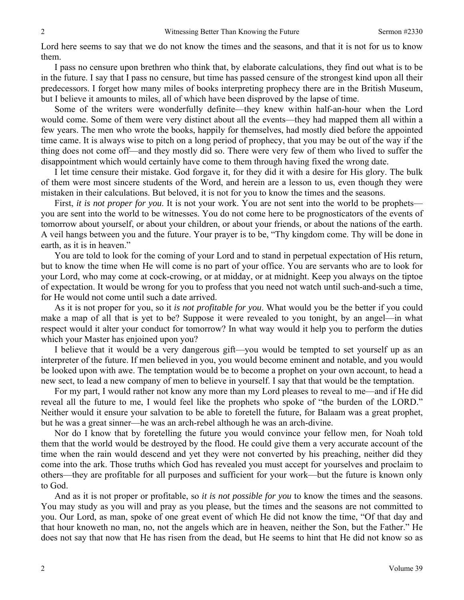Lord here seems to say that we do not know the times and the seasons, and that it is not for us to know them.

I pass no censure upon brethren who think that, by elaborate calculations, they find out what is to be in the future. I say that I pass no censure, but time has passed censure of the strongest kind upon all their predecessors. I forget how many miles of books interpreting prophecy there are in the British Museum, but I believe it amounts to miles, all of which have been disproved by the lapse of time.

Some of the writers were wonderfully definite—they knew within half-an-hour when the Lord would come. Some of them were very distinct about all the events—they had mapped them all within a few years. The men who wrote the books, happily for themselves, had mostly died before the appointed time came. It is always wise to pitch on a long period of prophecy, that you may be out of the way if the thing does not come off—and they mostly did so. There were very few of them who lived to suffer the disappointment which would certainly have come to them through having fixed the wrong date.

I let time censure their mistake. God forgave it, for they did it with a desire for His glory. The bulk of them were most sincere students of the Word, and herein are a lesson to us, even though they were mistaken in their calculations. But beloved, it is not for you to know the times and the seasons.

First, *it is not proper for you*. It is not your work. You are not sent into the world to be prophets you are sent into the world to be witnesses. You do not come here to be prognosticators of the events of tomorrow about yourself, or about your children, or about your friends, or about the nations of the earth. A veil hangs between you and the future. Your prayer is to be, "Thy kingdom come. Thy will be done in earth, as it is in heaven."

You are told to look for the coming of your Lord and to stand in perpetual expectation of His return, but to know the time when He will come is no part of your office. You are servants who are to look for your Lord, who may come at cock-crowing, or at midday, or at midnight. Keep you always on the tiptoe of expectation. It would be wrong for you to profess that you need not watch until such-and-such a time, for He would not come until such a date arrived.

As it is not proper for you, so it *is not profitable for you*. What would you be the better if you could make a map of all that is yet to be? Suppose it were revealed to you tonight, by an angel—in what respect would it alter your conduct for tomorrow? In what way would it help you to perform the duties which your Master has enjoined upon you?

I believe that it would be a very dangerous gift—you would be tempted to set yourself up as an interpreter of the future. If men believed in you, you would become eminent and notable, and you would be looked upon with awe. The temptation would be to become a prophet on your own account, to head a new sect, to lead a new company of men to believe in yourself. I say that that would be the temptation.

For my part, I would rather not know any more than my Lord pleases to reveal to me—and if He did reveal all the future to me, I would feel like the prophets who spoke of "the burden of the LORD." Neither would it ensure your salvation to be able to foretell the future, for Balaam was a great prophet, but he was a great sinner—he was an arch-rebel although he was an arch-divine.

Nor do I know that by foretelling the future you would convince your fellow men, for Noah told them that the world would be destroyed by the flood. He could give them a very accurate account of the time when the rain would descend and yet they were not converted by his preaching, neither did they come into the ark. Those truths which God has revealed you must accept for yourselves and proclaim to others—they are profitable for all purposes and sufficient for your work—but the future is known only to God.

And as it is not proper or profitable, so *it is not possible for you* to know the times and the seasons. You may study as you will and pray as you please, but the times and the seasons are not committed to you. Our Lord, as man, spoke of one great event of which He did not know the time, "Of that day and that hour knoweth no man, no, not the angels which are in heaven, neither the Son, but the Father." He does not say that now that He has risen from the dead, but He seems to hint that He did not know so as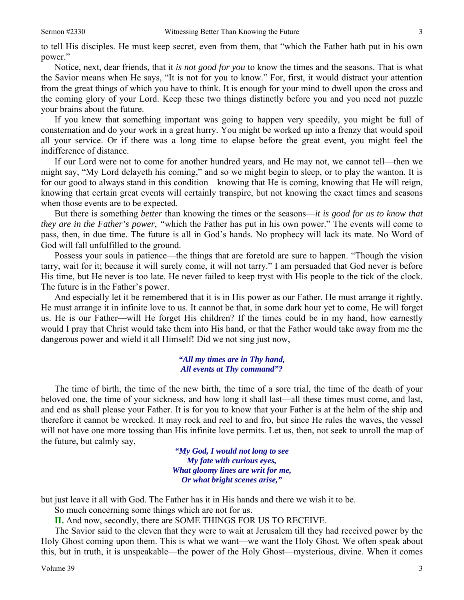to tell His disciples. He must keep secret, even from them, that "which the Father hath put in his own power."

Notice, next, dear friends, that it *is not good for you* to know the times and the seasons. That is what the Savior means when He says, "It is not for you to know." For, first, it would distract your attention from the great things of which you have to think. It is enough for your mind to dwell upon the cross and the coming glory of your Lord. Keep these two things distinctly before you and you need not puzzle your brains about the future.

If you knew that something important was going to happen very speedily, you might be full of consternation and do your work in a great hurry. You might be worked up into a frenzy that would spoil all your service. Or if there was a long time to elapse before the great event, you might feel the indifference of distance.

If our Lord were not to come for another hundred years, and He may not, we cannot tell—then we might say, "My Lord delayeth his coming," and so we might begin to sleep, or to play the wanton. It is for our good to always stand in this condition—knowing that He is coming, knowing that He will reign, knowing that certain great events will certainly transpire, but not knowing the exact times and seasons when those events are to be expected.

But there is something *better* than knowing the times or the seasons—*it is good for us to know that they are in the Father's power*, *"*which the Father has put in his own power." The events will come to pass, then, in due time. The future is all in God's hands. No prophecy will lack its mate. No Word of God will fall unfulfilled to the ground.

Possess your souls in patience—the things that are foretold are sure to happen. "Though the vision tarry, wait for it; because it will surely come, it will not tarry." I am persuaded that God never is before His time, but He never is too late. He never failed to keep tryst with His people to the tick of the clock. The future is in the Father's power.

And especially let it be remembered that it is in His power as our Father. He must arrange it rightly. He must arrange it in infinite love to us. It cannot be that, in some dark hour yet to come, He will forget us. He is our Father—will He forget His children? If the times could be in my hand, how earnestly would I pray that Christ would take them into His hand, or that the Father would take away from me the dangerous power and wield it all Himself! Did we not sing just now,

#### *"All my times are in Thy hand, All events at Thy command"?*

The time of birth, the time of the new birth, the time of a sore trial, the time of the death of your beloved one, the time of your sickness, and how long it shall last—all these times must come, and last, and end as shall please your Father. It is for you to know that your Father is at the helm of the ship and therefore it cannot be wrecked. It may rock and reel to and fro, but since He rules the waves, the vessel will not have one more tossing than His infinite love permits. Let us, then, not seek to unroll the map of the future, but calmly say,

> *"My God, I would not long to see My fate with curious eyes, What gloomy lines are writ for me, Or what bright scenes arise,"*

but just leave it all with God. The Father has it in His hands and there we wish it to be.

So much concerning some things which are not for us.

**II.** And now, secondly, there are SOME THINGS FOR US TO RECEIVE.

The Savior said to the eleven that they were to wait at Jerusalem till they had received power by the Holy Ghost coming upon them. This is what we want—we want the Holy Ghost. We often speak about this, but in truth, it is unspeakable—the power of the Holy Ghost—mysterious, divine. When it comes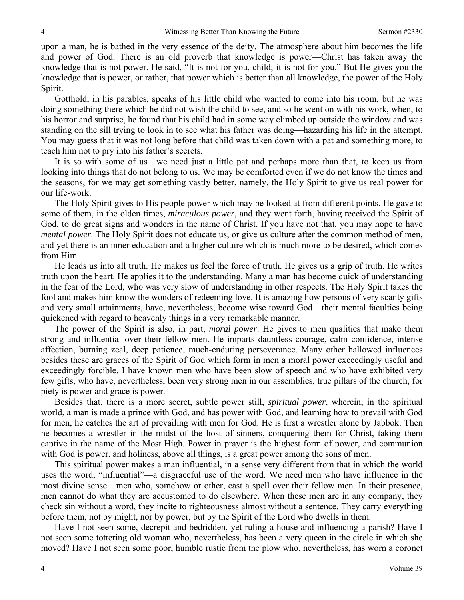upon a man, he is bathed in the very essence of the deity. The atmosphere about him becomes the life and power of God. There is an old proverb that knowledge is power—Christ has taken away the knowledge that is not power. He said, "It is not for you, child; it is not for you." But He gives you the knowledge that is power, or rather, that power which is better than all knowledge, the power of the Holy Spirit.

Gotthold, in his parables, speaks of his little child who wanted to come into his room, but he was doing something there which he did not wish the child to see, and so he went on with his work, when, to his horror and surprise, he found that his child had in some way climbed up outside the window and was standing on the sill trying to look in to see what his father was doing—hazarding his life in the attempt. You may guess that it was not long before that child was taken down with a pat and something more, to teach him not to pry into his father's secrets.

It is so with some of us—we need just a little pat and perhaps more than that, to keep us from looking into things that do not belong to us. We may be comforted even if we do not know the times and the seasons, for we may get something vastly better, namely, the Holy Spirit to give us real power for our life-work.

The Holy Spirit gives to His people power which may be looked at from different points. He gave to some of them, in the olden times, *miraculous power*, and they went forth, having received the Spirit of God, to do great signs and wonders in the name of Christ. If you have not that, you may hope to have *mental power*. The Holy Spirit does not educate us, or give us culture after the common method of men, and yet there is an inner education and a higher culture which is much more to be desired, which comes from Him.

He leads us into all truth. He makes us feel the force of truth. He gives us a grip of truth. He writes truth upon the heart. He applies it to the understanding. Many a man has become quick of understanding in the fear of the Lord, who was very slow of understanding in other respects. The Holy Spirit takes the fool and makes him know the wonders of redeeming love. It is amazing how persons of very scanty gifts and very small attainments, have, nevertheless, become wise toward God—their mental faculties being quickened with regard to heavenly things in a very remarkable manner.

The power of the Spirit is also, in part, *moral power*. He gives to men qualities that make them strong and influential over their fellow men. He imparts dauntless courage, calm confidence, intense affection, burning zeal, deep patience, much-enduring perseverance. Many other hallowed influences besides these are graces of the Spirit of God which form in men a moral power exceedingly useful and exceedingly forcible. I have known men who have been slow of speech and who have exhibited very few gifts, who have, nevertheless, been very strong men in our assemblies, true pillars of the church, for piety is power and grace is power.

Besides that, there is a more secret, subtle power still, *spiritual power*, wherein, in the spiritual world, a man is made a prince with God, and has power with God, and learning how to prevail with God for men, he catches the art of prevailing with men for God. He is first a wrestler alone by Jabbok. Then he becomes a wrestler in the midst of the host of sinners, conquering them for Christ, taking them captive in the name of the Most High. Power in prayer is the highest form of power, and communion with God is power, and holiness, above all things, is a great power among the sons of men.

This spiritual power makes a man influential, in a sense very different from that in which the world uses the word, "influential"—a disgraceful use of the word. We need men who have influence in the most divine sense—men who, somehow or other, cast a spell over their fellow men. In their presence, men cannot do what they are accustomed to do elsewhere. When these men are in any company, they check sin without a word, they incite to righteousness almost without a sentence. They carry everything before them, not by might, nor by power, but by the Spirit of the Lord who dwells in them.

Have I not seen some, decrepit and bedridden, yet ruling a house and influencing a parish? Have I not seen some tottering old woman who, nevertheless, has been a very queen in the circle in which she moved? Have I not seen some poor, humble rustic from the plow who, nevertheless, has worn a coronet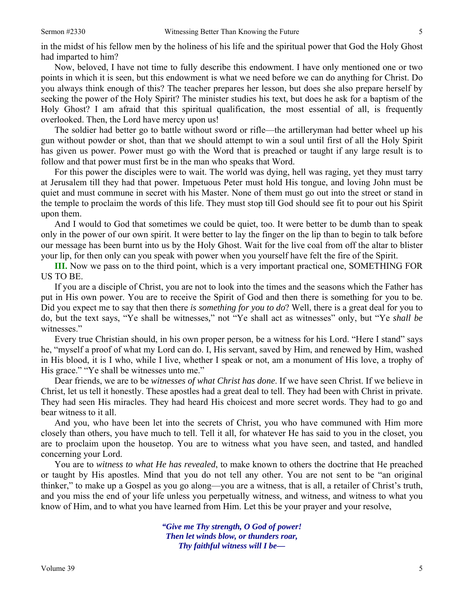in the midst of his fellow men by the holiness of his life and the spiritual power that God the Holy Ghost had imparted to him?

Now, beloved, I have not time to fully describe this endowment. I have only mentioned one or two points in which it is seen, but this endowment is what we need before we can do anything for Christ. Do you always think enough of this? The teacher prepares her lesson, but does she also prepare herself by seeking the power of the Holy Spirit? The minister studies his text, but does he ask for a baptism of the Holy Ghost? I am afraid that this spiritual qualification, the most essential of all, is frequently overlooked. Then, the Lord have mercy upon us!

The soldier had better go to battle without sword or rifle—the artilleryman had better wheel up his gun without powder or shot, than that we should attempt to win a soul until first of all the Holy Spirit has given us power. Power must go with the Word that is preached or taught if any large result is to follow and that power must first be in the man who speaks that Word.

For this power the disciples were to wait. The world was dying, hell was raging, yet they must tarry at Jerusalem till they had that power. Impetuous Peter must hold His tongue, and loving John must be quiet and must commune in secret with his Master. None of them must go out into the street or stand in the temple to proclaim the words of this life. They must stop till God should see fit to pour out his Spirit upon them.

And I would to God that sometimes we could be quiet, too. It were better to be dumb than to speak only in the power of our own spirit. It were better to lay the finger on the lip than to begin to talk before our message has been burnt into us by the Holy Ghost. Wait for the live coal from off the altar to blister your lip, for then only can you speak with power when you yourself have felt the fire of the Spirit.

**III.** Now we pass on to the third point, which is a very important practical one, SOMETHING FOR US TO BE.

If you are a disciple of Christ, you are not to look into the times and the seasons which the Father has put in His own power. You are to receive the Spirit of God and then there is something for you to be. Did you expect me to say that then there *is something for you to do*? Well, there is a great deal for you to do, but the text says, "Ye shall be witnesses*,*" not "Ye shall act as witnesses" only, but "Ye *shall be* witnesses."

Every true Christian should, in his own proper person, be a witness for his Lord. "Here I stand" says he, "myself a proof of what my Lord can do. I, His servant, saved by Him, and renewed by Him, washed in His blood, it is I who, while I live, whether I speak or not, am a monument of His love, a trophy of His grace." "Ye shall be witnesses unto me."

Dear friends, we are to be *witnesses of what Christ has done*. If we have seen Christ. If we believe in Christ, let us tell it honestly. These apostles had a great deal to tell. They had been with Christ in private. They had seen His miracles. They had heard His choicest and more secret words. They had to go and bear witness to it all.

And you, who have been let into the secrets of Christ, you who have communed with Him more closely than others, you have much to tell. Tell it all, for whatever He has said to you in the closet, you are to proclaim upon the housetop. You are to witness what you have seen, and tasted, and handled concerning your Lord.

You are to *witness to what He has revealed*, to make known to others the doctrine that He preached or taught by His apostles. Mind that you do not tell any other. You are not sent to be "an original thinker," to make up a Gospel as you go along—you are a witness, that is all, a retailer of Christ's truth, and you miss the end of your life unless you perpetually witness, and witness, and witness to what you know of Him, and to what you have learned from Him. Let this be your prayer and your resolve,

> *"Give me Thy strength, O God of power! Then let winds blow, or thunders roar, Thy faithful witness will I be—*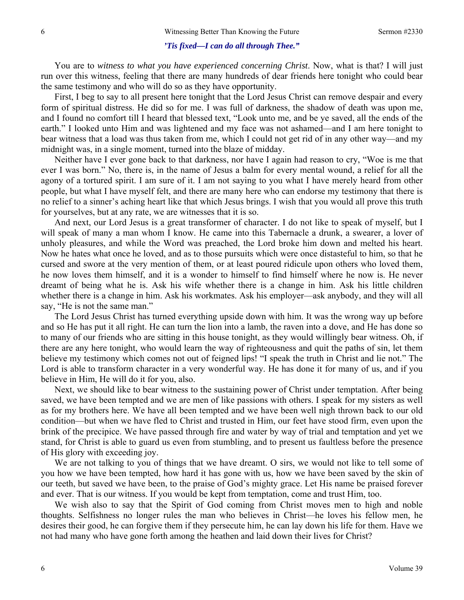#### *'Tis fixed—I can do all through Thee."*

You are to *witness to what you have experienced concerning Christ*. Now, what is that? I will just run over this witness, feeling that there are many hundreds of dear friends here tonight who could bear the same testimony and who will do so as they have opportunity.

First, I beg to say to all present here tonight that the Lord Jesus Christ can remove despair and every form of spiritual distress. He did so for me. I was full of darkness, the shadow of death was upon me, and I found no comfort till I heard that blessed text, "Look unto me, and be ye saved, all the ends of the earth." I looked unto Him and was lightened and my face was not ashamed—and I am here tonight to bear witness that a load was thus taken from me, which I could not get rid of in any other way—and my midnight was, in a single moment, turned into the blaze of midday.

Neither have I ever gone back to that darkness, nor have I again had reason to cry, "Woe is me that ever I was born." No, there is, in the name of Jesus a balm for every mental wound, a relief for all the agony of a tortured spirit. I am sure of it. I am not saying to you what I have merely heard from other people, but what I have myself felt, and there are many here who can endorse my testimony that there is no relief to a sinner's aching heart like that which Jesus brings. I wish that you would all prove this truth for yourselves, but at any rate, we are witnesses that it is so.

And next, our Lord Jesus is a great transformer of character. I do not like to speak of myself, but I will speak of many a man whom I know. He came into this Tabernacle a drunk, a swearer, a lover of unholy pleasures, and while the Word was preached, the Lord broke him down and melted his heart. Now he hates what once he loved, and as to those pursuits which were once distasteful to him, so that he cursed and swore at the very mention of them, or at least poured ridicule upon others who loved them, he now loves them himself, and it is a wonder to himself to find himself where he now is. He never dreamt of being what he is. Ask his wife whether there is a change in him. Ask his little children whether there is a change in him. Ask his workmates. Ask his employer—ask anybody, and they will all say, "He is not the same man."

The Lord Jesus Christ has turned everything upside down with him. It was the wrong way up before and so He has put it all right. He can turn the lion into a lamb, the raven into a dove, and He has done so to many of our friends who are sitting in this house tonight, as they would willingly bear witness. Oh, if there are any here tonight, who would learn the way of righteousness and quit the paths of sin, let them believe my testimony which comes not out of feigned lips! "I speak the truth in Christ and lie not." The Lord is able to transform character in a very wonderful way. He has done it for many of us, and if you believe in Him, He will do it for you, also.

Next, we should like to bear witness to the sustaining power of Christ under temptation. After being saved, we have been tempted and we are men of like passions with others. I speak for my sisters as well as for my brothers here. We have all been tempted and we have been well nigh thrown back to our old condition—but when we have fled to Christ and trusted in Him, our feet have stood firm, even upon the brink of the precipice. We have passed through fire and water by way of trial and temptation and yet we stand, for Christ is able to guard us even from stumbling, and to present us faultless before the presence of His glory with exceeding joy.

We are not talking to you of things that we have dreamt. O sirs, we would not like to tell some of you how we have been tempted, how hard it has gone with us, how we have been saved by the skin of our teeth, but saved we have been, to the praise of God's mighty grace. Let His name be praised forever and ever. That is our witness. If you would be kept from temptation, come and trust Him, too.

We wish also to say that the Spirit of God coming from Christ moves men to high and noble thoughts. Selfishness no longer rules the man who believes in Christ—he loves his fellow men, he desires their good, he can forgive them if they persecute him, he can lay down his life for them. Have we not had many who have gone forth among the heathen and laid down their lives for Christ?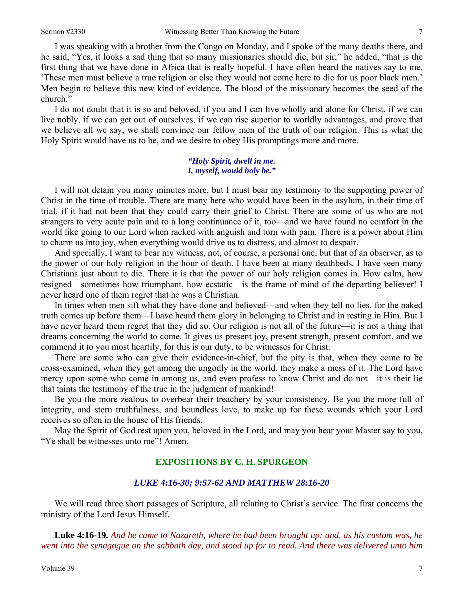I was speaking with a brother from the Congo on Monday, and I spoke of the many deaths there, and he said, "Yes, it looks a sad thing that so many missionaries should die, but sir," he added, "that is the first thing that we have done in Africa that is really hopeful. I have often heard the natives say to me, 'These men must believe a true religion or else they would not come here to die for us poor black men.' Men begin to believe this new kind of evidence. The blood of the missionary becomes the seed of the church."

I do not doubt that it is so and beloved, if you and I can live wholly and alone for Christ, if we can live nobly, if we can get out of ourselves, if we can rise superior to worldly advantages, and prove that we believe all we say, we shall convince our fellow men of the truth of our religion. This is what the Holy Spirit would have us to be, and we desire to obey His promptings more and more.

#### *"Holy Spirit, dwell in me. I, myself, would holy be."*

I will not detain you many minutes more, but I must bear my testimony to the supporting power of Christ in the time of trouble. There are many here who would have been in the asylum, in their time of trial, if it had not been that they could carry their grief to Christ. There are some of us who are not strangers to very acute pain and to a long continuance of it, too—and we have found no comfort in the world like going to our Lord when racked with anguish and torn with pain. There is a power about Him to charm us into joy, when everything would drive us to distress, and almost to despair.

And specially, I want to bear my witness, not, of course, a personal one, but that of an observer, as to the power of our holy religion in the hour of death. I have been at many deathbeds. I have seen many Christians just about to die. There it is that the power of our holy religion comes in. How calm, how resigned—sometimes how triumphant, how ecstatic—is the frame of mind of the departing believer! I never heard one of them regret that he was a Christian.

In times when men sift what they have done and believed—and when they tell no lies, for the naked truth comes up before them—I have heard them glory in belonging to Christ and in resting in Him. But I have never heard them regret that they did so. Our religion is not all of the future—it is not a thing that dreams concerning the world to come. It gives us present joy, present strength, present comfort, and we commend it to you most heartily, for this is our duty, to be witnesses for Christ.

There are some who can give their evidence-in-chief, but the pity is that, when they come to be cross-examined, when they get among the ungodly in the world, they make a mess of it. The Lord have mercy upon some who come in among us, and even profess to know Christ and do not—it is their lie that taints the testimony of the true in the judgment of mankind!

Be you the more zealous to overbear their treachery by your consistency. Be you the more full of integrity, and stern truthfulness, and boundless love, to make up for these wounds which your Lord receives so often in the house of His friends.

May the Spirit of God rest upon you, beloved in the Lord, and may you hear your Master say to you, "Ye shall be witnesses unto me"! Amen.

# **EXPOSITIONS BY C. H. SPURGEON**

### *LUKE 4:16-30; 9:57-62 AND MATTHEW 28:16-20*

We will read three short passages of Scripture, all relating to Christ's service. The first concerns the ministry of the Lord Jesus Himself.

**Luke 4:16-19.** *And he came to Nazareth, where he had been brought up: and, as his custom was, he went into the synagogue on the sabbath day, and stood up for to read. And there was delivered unto him*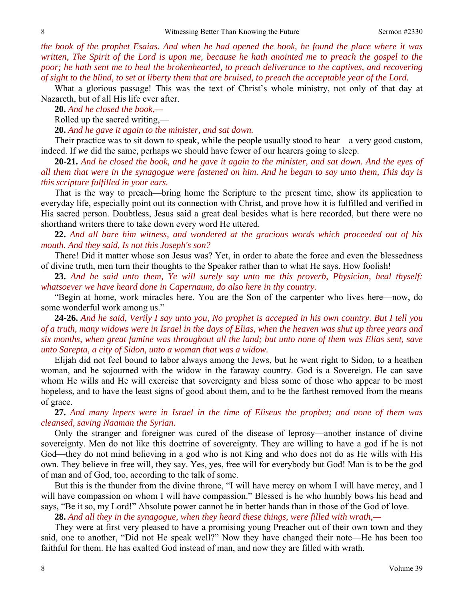*the book of the prophet Esaias. And when he had opened the book, he found the place where it was written, The Spirit of the Lord is upon me, because he hath anointed me to preach the gospel to the poor; he hath sent me to heal the brokenhearted, to preach deliverance to the captives, and recovering of sight to the blind, to set at liberty them that are bruised, to preach the acceptable year of the Lord.*

What a glorious passage! This was the text of Christ's whole ministry, not only of that day at Nazareth, but of all His life ever after.

**20.** *And he closed the book,—* 

Rolled up the sacred writing,—

**20.** *And he gave it again to the minister, and sat down.* 

Their practice was to sit down to speak, while the people usually stood to hear—a very good custom, indeed. If *we* did the same, perhaps we should have fewer of our hearers going to sleep.

**20-21.** *And he closed the book, and he gave it again to the minister, and sat down. And the eyes of all them that were in the synagogue were fastened on him. And he began to say unto them, This day is this scripture fulfilled in your ears.*

That is the way to preach—bring home the Scripture to the present time, show its application to everyday life, especially point out its connection with Christ, and prove how it is fulfilled and verified in His sacred person. Doubtless, Jesus said a great deal besides what is here recorded, but there were no shorthand writers there to take down every word He uttered.

**22.** *And all bare him witness, and wondered at the gracious words which proceeded out of his mouth. And they said, Is not this Joseph's son?*

There! Did it matter whose son Jesus was? Yet, in order to abate the force and even the blessedness of divine truth, men turn their thoughts to the Speaker rather than to what He says. How foolish!

**23.** *And he said unto them, Ye will surely say unto me this proverb, Physician, heal thyself: whatsoever we have heard done in Capernaum, do also here in thy country.*

"Begin at home, work miracles here. You are the Son of the carpenter who lives here—now, do some wonderful work among us."

**24-26.** *And he said, Verily I say unto you, No prophet is accepted in his own country. But I tell you of a truth, many widows were in Israel in the days of Elias, when the heaven was shut up three years and six months, when great famine was throughout all the land; but unto none of them was Elias sent, save unto Sarepta, a city of Sidon, unto a woman that was a widow.*

Elijah did not feel bound to labor always among the Jews, but he went right to Sidon, to a heathen woman, and he sojourned with the widow in the faraway country. God is a Sovereign. He can save whom He wills and He will exercise that sovereignty and bless some of those who appear to be most hopeless, and to have the least signs of good about them, and to be the farthest removed from the means of grace.

**27.** *And many lepers were in Israel in the time of Eliseus the prophet; and none of them was cleansed, saving Naaman the Syrian.*

Only the stranger and foreigner was cured of the disease of leprosy—another instance of divine sovereignty. Men do not like this doctrine of sovereignty. They are willing to have a god if he is not God—they do not mind believing in a god who is not King and who does not do as He wills with His own. They believe in free will, they say. Yes, yes, free will for everybody but God! Man is to be the god of man and of God, too, according to the talk of some.

But this is the thunder from the divine throne, "I will have mercy on whom I will have mercy, and I will have compassion on whom I will have compassion." Blessed is he who humbly bows his head and says, "Be it so, my Lord!" Absolute power cannot be in better hands than in those of the God of love.

**28.** *And all they in the synagogue, when they heard these things, were filled with wrath,—* 

They were at first very pleased to have a promising young Preacher out of their own town and they said, one to another, "Did not He speak well?" Now they have changed their note—He has been too faithful for them. He has exalted God instead of man, and now they are filled with wrath.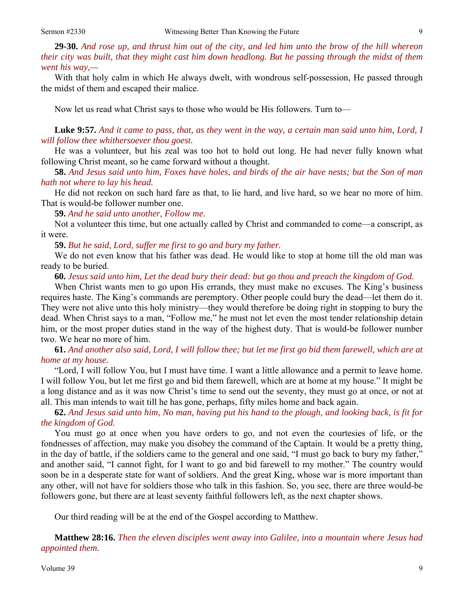**29-30.** *And rose up, and thrust him out of the city, and led him unto the brow of the hill whereon their city was built, that they might cast him down headlong. But he passing through the midst of them went his way,—*

With that holy calm in which He always dwelt, with wondrous self-possession, He passed through the midst of them and escaped their malice.

Now let us read what Christ says to those who would be His followers. Turn to—

**Luke 9:57.** *And it came to pass, that, as they went in the way, a certain man said unto him, Lord, I will follow thee whithersoever thou goest.*

He was a volunteer, but his zeal was too hot to hold out long. He had never fully known what following Christ meant, so he came forward without a thought.

**58.** *And Jesus said unto him, Foxes have holes, and birds of the air have nests; but the Son of man hath not where to lay his head.*

He did not reckon on such hard fare as that, to lie hard, and live hard, so we hear no more of him. That is would-be follower number one.

**59.** *And he said unto another, Follow me.* 

Not a volunteer this time, but one actually called by Christ and commanded to come—a conscript, as it were.

**59.** *But he said, Lord, suffer me first to go and bury my father.* 

We do not even know that his father was dead. He would like to stop at home till the old man was ready to be buried.

**60.** *Jesus said unto him, Let the dead bury their dead: but go thou and preach the kingdom of God.*

When Christ wants men to go upon His errands, they must make no excuses. The King's business requires haste. The King's commands are peremptory. Other people could bury the dead—let them do it. They were not alive unto this holy ministry—they would therefore be doing right in stopping to bury the dead. When Christ says to a man, "Follow me," he must not let even the most tender relationship detain him, or the most proper duties stand in the way of the highest duty. That is would-be follower number two. We hear no more of him.

**61.** *And another also said, Lord, I will follow thee; but let me first go bid them farewell, which are at home at my house.*

"Lord, I will follow You, but I must have time. I want a little allowance and a permit to leave home. I will follow You, but let me first go and bid them farewell, which are at home at my house." It might be a long distance and as it was now Christ's time to send out the seventy, they must go at once, or not at all. This man intends to wait till he has gone, perhaps, fifty miles home and back again.

**62.** *And Jesus said unto him, No man, having put his hand to the plough, and looking back, is fit for the kingdom of God.* 

You must go at once when you have orders to go, and not even the courtesies of life, or the fondnesses of affection, may make you disobey the command of the Captain. It would be a pretty thing, in the day of battle, if the soldiers came to the general and one said, "I must go back to bury my father," and another said, "I cannot fight, for I want to go and bid farewell to my mother." The country would soon be in a desperate state for want of soldiers. And the great King, whose war is more important than any other, will not have for soldiers those who talk in this fashion. So, you see, there are three would-be followers gone, but there are at least seventy faithful followers left, as the next chapter shows.

Our third reading will be at the end of the Gospel according to Matthew.

**Matthew 28:16.** *Then the eleven disciples went away into Galilee, into a mountain where Jesus had appointed them.*